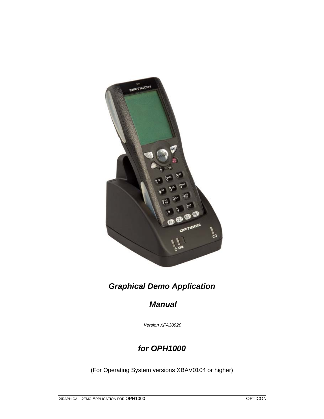

# *Graphical Demo Application*

## *Manual*

 *Version XFA30920*

## *for OPH1000*

(For Operating System versions XBAV0104 or higher)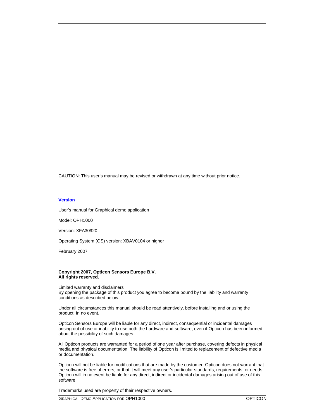CAUTION: This user's manual may be revised or withdrawn at any time without prior notice.

#### **Version**

User's manual for Graphical demo application

Model: OPH1000

Version: XFA30920

Operating System (OS) version: XBAV0104 or higher

February 2007

#### **Copyright 2007, Opticon Sensors Europe B.V. All rights reserved.**

Limited warranty and disclaimers By opening the package of this product you agree to become bound by the liability and warranty conditions as described below.

Under all circumstances this manual should be read attentively, before installing and or using the product. In no event,

Opticon Sensors Europe will be liable for any direct, indirect, consequential or incidental damages arising out of use or inability to use both the hardware and software, even if Opticon has been informed about the possibility of such damages.

All Opticon products are warranted for a period of one year after purchase, covering defects in physical media and physical documentation. The liability of Opticon is limited to replacement of defective media or documentation.

Opticon will not be liable for modifications that are made by the customer. Opticon does not warrant that the software is free of errors, or that it will meet any user's particular standards, requirements, or needs. Opticon will in no event be liable for any direct, indirect or incidental damages arising out of use of this software.

Trademarks used are property of their respective owners.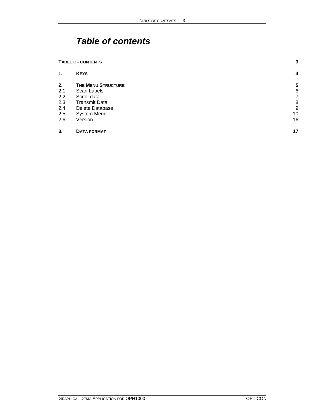# *Table of contents*

| <b>TABLE OF CONTENTS</b> |                           | 3  |
|--------------------------|---------------------------|----|
| 1.                       | <b>KEYS</b>               | 4  |
| 2.                       | <b>THE MENU STRUCTURE</b> | 5  |
| 2.1                      | Scan Labels               | 6  |
| 2.2                      | Scroll data               | 7  |
| 2.3                      | <b>Transmit Data</b>      | 8  |
| 2.4                      | Delete Database           | 9  |
| 2.5                      | System Menu               | 10 |
| 2.6                      | Version                   | 16 |
| 3.                       | <b>DATA FORMAT</b>        | 17 |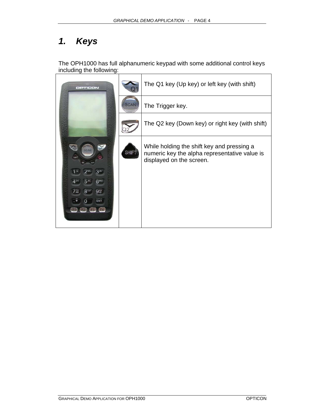# *1. Keys*

The OPH1000 has full alphanumeric keypad with some additional control keys including the following:

| OPTICON                                         |             | The Q1 key (Up key) or left key (with shift)                                                                            |
|-------------------------------------------------|-------------|-------------------------------------------------------------------------------------------------------------------------|
|                                                 | <b>SCAN</b> | The Trigger key.                                                                                                        |
|                                                 |             | The Q2 key (Down key) or right key (with shift)                                                                         |
| SCAN<br>$710$ RS<br><b>BTUV</b><br>$9\%$<br>ENT | <b>SHIF</b> | While holding the shift key and pressing a<br>numeric key the alpha representative value is<br>displayed on the screen. |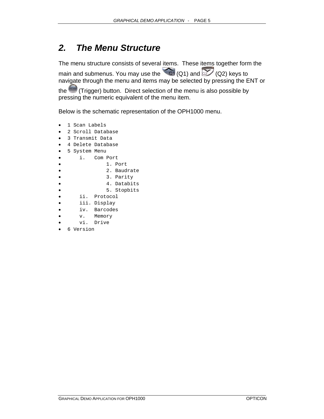# *2. The Menu Structure*

The menu structure consists of several items. These items together form the main and submenus. You may use the  $\sim$  (Q1) and  $\sim$  (Q2) keys to navigate through the menu and items may be selected by pressing the ENT or

the (Trigger) button. Direct selection of the menu is also possible by pressing the numeric equivalent of the menu item.

Below is the schematic representation of the OPH1000 menu.

- 1 Scan Labels
- 2 Scroll Database
- 3 Transmit Data
- 4 Delete Database
- 5 System Menu
- i. Com Port
- 1. Port
- 2. Baudrate
- 3. Parity
- 4. Databits
- 5. Stopbits
- ii. Protocol
- iii. Display
- iv. Barcodes
- v. Memory
- vi. Drive
- 6 Version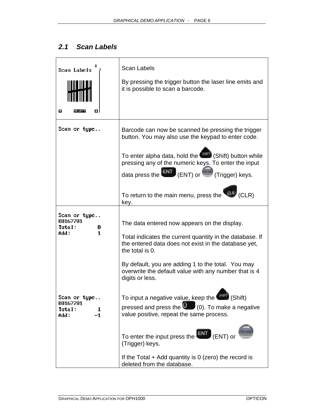#### *2.1 Scan Labels*

| Scan Labels<br>Ω                                        | <b>Scan Labels</b><br>By pressing the trigger button the laser line emits and<br>it is possible to scan a barcode.                                                                                                                                                                                                                                              |
|---------------------------------------------------------|-----------------------------------------------------------------------------------------------------------------------------------------------------------------------------------------------------------------------------------------------------------------------------------------------------------------------------------------------------------------|
| Scan or type                                            | Barcode can now be scanned be pressing the trigger<br>button. You may also use the keypad to enter code.<br>To enter alpha data, hold the <sup>(SHIFT</sup> ) (Shift) button while<br>pressing any of the numeric keys. To enter the input<br>data press the $ENT$ (ENT) or<br>SCAN (Trigger) keys.<br>To return to the main menu, press the CLR/ (CLR)<br>key. |
| Scan or type<br>00167701<br>Total:<br>Ø<br>1<br>Add :   | The data entered now appears on the display.<br>Total indicates the current quantity in the database. If<br>the entered data does not exist in the database yet,<br>the total is 0.<br>By default, you are adding 1 to the total. You may<br>overwrite the default value with any number that is 4<br>digits or less.                                           |
| Scan or type<br>00167701<br>Total:<br>1<br>$-1$<br>Add: | To input a negative value, keep the <sup>SHIFT</sup> (Shift)<br>pressed and press the $\bigcirc$ (0). To make a negative<br>value positive, repeat the same process.<br>To enter the input press the<br>(ENT) or<br>(Trigger) keys.<br>If the Total $+$ Add quantity is 0 (zero) the record is<br>deleted from the database.                                    |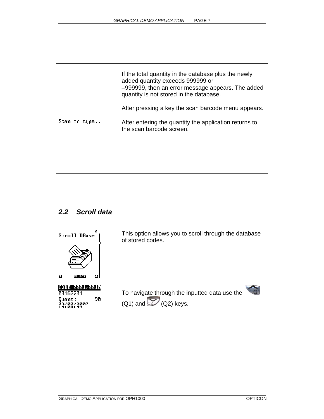|              | If the total quantity in the database plus the newly<br>added quantity exceeds 999999 or<br>-999999, then an error message appears. The added<br>quantity is not stored in the database.<br>After pressing a key the scan barcode menu appears. |
|--------------|-------------------------------------------------------------------------------------------------------------------------------------------------------------------------------------------------------------------------------------------------|
| Scan or type | After entering the quantity the application returns to<br>the scan barcode screen.                                                                                                                                                              |

#### *2.2 Scroll data*

| 2<br>Scroll DBase<br>Ω<br>SELECT                                       | This option allows you to scroll through the database<br>of stored codes.    |
|------------------------------------------------------------------------|------------------------------------------------------------------------------|
| CODE 0001/0010<br>00167701<br>90<br>Quant:<br>70272007<br><b>08:49</b> | To navigate through the inputted data use the<br>$(Q1)$ and $Q$ $(Q2)$ keys. |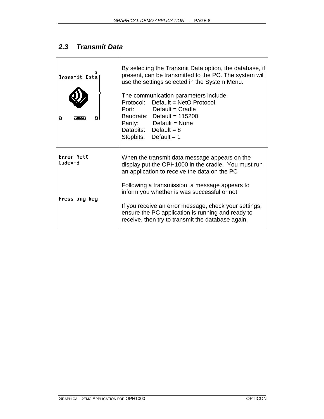### *2.3 Transmit Data*

| Transmit Data<br>ິ      | By selecting the Transmit Data option, the database, if<br>present, can be transmitted to the PC. The system will<br>use the settings selected in the System Menu.<br>The communication parameters include:<br>Protocol: Default = NetO Protocol<br>Port: Default = Cradle<br>Baudrate: Default = 115200<br>Parity: Default = None<br>Databits: Default = $8$<br>Stopbits: Default = $1$ |  |
|-------------------------|------------------------------------------------------------------------------------------------------------------------------------------------------------------------------------------------------------------------------------------------------------------------------------------------------------------------------------------------------------------------------------------|--|
| Error Net0<br>$Code=-3$ | When the transmit data message appears on the<br>display put the OPH1000 in the cradle. You must run<br>an application to receive the data on the PC                                                                                                                                                                                                                                     |  |
| Press any key           | Following a transmission, a message appears to<br>inform you whether is was successful or not.<br>If you receive an error message, check your settings,<br>ensure the PC application is running and ready to<br>receive, then try to transmit the database again.                                                                                                                        |  |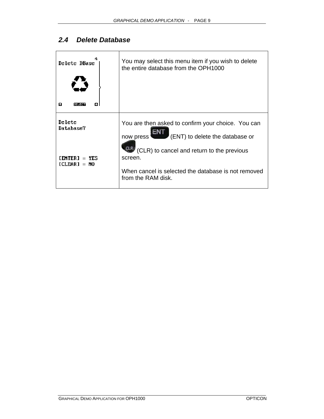### *2.4 Delete Database*

| Delete DBase                           | You may select this menu item if you wish to delete<br>the entire database from the OPH1000                                                        |
|----------------------------------------|----------------------------------------------------------------------------------------------------------------------------------------------------|
| Ω<br>Ω<br>SEL 50                       |                                                                                                                                                    |
| Delete<br>Database?                    | You are then asked to confirm your choice. You can<br>(ENT) to delete the database or<br>now press !<br>(CLR) to cancel and return to the previous |
| $=$ YES<br>I FNTFR 1<br>$[CLEAR] = NO$ | screen.<br>When cancel is selected the database is not removed<br>from the RAM disk.                                                               |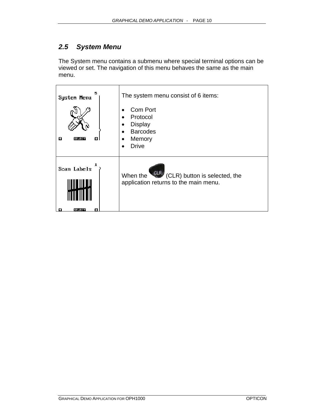#### *2.5 System Menu*

The System menu contains a submenu where special terminal options can be viewed or set. The navigation of this menu behaves the same as the main menu.

| 5.<br>System Menu<br>Ω<br>Ω<br>ISELEC | The system menu consist of 6 items:<br>Com Port<br>Protocol<br>$\bullet$<br><b>Display</b><br><b>Barcodes</b><br>Memory<br><b>Drive</b> |
|---------------------------------------|-----------------------------------------------------------------------------------------------------------------------------------------|
| 1.<br>Scan Labels<br>SELECT           | When the CLR (CLR) button is selected, the<br>application returns to the main menu.                                                     |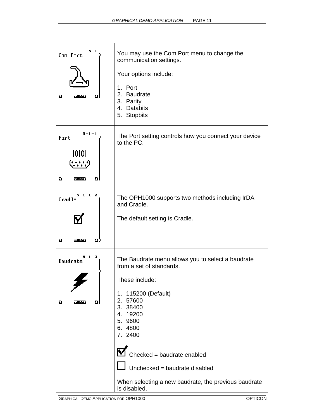| 5-1<br>Com Port<br>Ω<br>Ω<br>SEL 50 T                                                    | You may use the Com Port menu to change the<br>communication settings.<br>Your options include:<br>1. Port<br>2.<br>Baudrate<br>3. Parity<br>4. Databits<br>5. Stopbits                                                                                                                                                                    |
|------------------------------------------------------------------------------------------|--------------------------------------------------------------------------------------------------------------------------------------------------------------------------------------------------------------------------------------------------------------------------------------------------------------------------------------------|
| $5 - 1 - 1$<br>Port<br>10101<br>Ω<br>α<br>डचाउटन<br>$5 - 1 - 1 - 2$<br>Cradle<br>Ω<br>O) | The Port setting controls how you connect your device<br>to the PC.<br>The OPH1000 supports two methods including IrDA<br>and Cradle.<br>The default setting is Cradle.                                                                                                                                                                    |
| 5-1-2<br><b>Baudrate</b><br>o<br>Ω                                                       | The Baudrate menu allows you to select a baudrate<br>from a set of standards.<br>These include:<br>1. 115200 (Default)<br>2.<br>57600<br>3. 38400<br>4.<br>19200<br>9600<br>5.<br>6.4800<br>7. 2400<br>Checked = baudrate enabled<br>Unchecked = baudrate disabled<br>When selecting a new baudrate, the previous baudrate<br>is disabled. |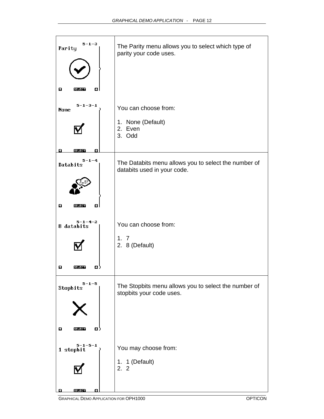| $5 - 1 - 3$<br>Parity          | The Parity menu allows you to select which type of<br>parity your code uses.        |
|--------------------------------|-------------------------------------------------------------------------------------|
| Ω<br>Ω<br><b>SELECT</b>        |                                                                                     |
| $5 - 1 - 3 - 1$<br><b>None</b> | You can choose from:                                                                |
|                                | 1. None (Default)<br>2. Even<br>3. Odd                                              |
| SELECT                         |                                                                                     |
| $5 - 1 - 4$<br>Databits        | The Databits menu allows you to select the number of<br>databits used in your code. |
|                                |                                                                                     |
| Ω<br>Ω<br>SELECT               |                                                                                     |
| 5-1-4-2<br>$8$ databits        | You can choose from:                                                                |
|                                | 1, 7<br>2. 8 (Default)                                                              |
| Ω<br>o)<br>saratan             |                                                                                     |
| $5 - 1 - 5$<br>Stopbits        | The Stopbits menu allows you to select the number of<br>stopbits your code uses.    |
|                                |                                                                                     |
| Ω<br>Ω.<br><b>SELECT</b>       |                                                                                     |
| $5 - 1 - 5 - 1$<br>1 stopbit   | You may choose from:                                                                |
|                                | 1. 1 (Default)<br>2.2                                                               |
| SELECT<br>Ω                    |                                                                                     |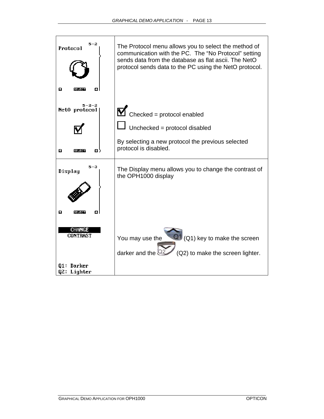| 5–2<br>Protocol                  | The Protocol menu allows you to select the method of<br>communication with the PC. The "No Protocol" setting<br>sends data from the database as flat ascii. The NetO<br>protocol sends data to the PC using the NetO protocol. |
|----------------------------------|--------------------------------------------------------------------------------------------------------------------------------------------------------------------------------------------------------------------------------|
| Ω                                |                                                                                                                                                                                                                                |
| 5–2–2<br>Net0 protocol           | $\blacksquare$ Checked = protocol enabled                                                                                                                                                                                      |
|                                  | Unchecked = protocol disabled                                                                                                                                                                                                  |
| Ω)<br>Ω<br>ਕਰਾਤਸ                 | By selecting a new protocol the previous selected<br>protocol is disabled.                                                                                                                                                     |
| 5–3<br>Display                   | The Display menu allows you to change the contrast of<br>the OPH1000 display                                                                                                                                                   |
| Ω<br>Ω<br>डवाटक                  |                                                                                                                                                                                                                                |
| <b>CHANGE</b><br><b>CONTRAST</b> | $(21)(21)$ key to make the screen<br>You may use the                                                                                                                                                                           |
| 01: Darker<br>Q2: Lighter        | (Q2) to make the screen lighter.<br>darker and the                                                                                                                                                                             |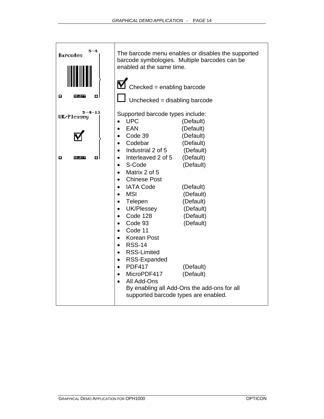| $5 - 4$<br><b>Barcodes</b>                       | The barcode menu enables or disables the supported<br>barcode symbologies. Multiple barcodes can be<br>enabled at the same time.                                                                                                                                                                                                                                                                                                                                                                                                                 |                                                                                                                                                                                                 |  |
|--------------------------------------------------|--------------------------------------------------------------------------------------------------------------------------------------------------------------------------------------------------------------------------------------------------------------------------------------------------------------------------------------------------------------------------------------------------------------------------------------------------------------------------------------------------------------------------------------------------|-------------------------------------------------------------------------------------------------------------------------------------------------------------------------------------------------|--|
|                                                  | $\blacksquare$ Checked = enabling barcode                                                                                                                                                                                                                                                                                                                                                                                                                                                                                                        |                                                                                                                                                                                                 |  |
| Ω<br>ol<br>बना उक्त                              | Unchecked = disabling barcode                                                                                                                                                                                                                                                                                                                                                                                                                                                                                                                    |                                                                                                                                                                                                 |  |
| 5-4-13<br>UK/Plessey<br>Ω<br>Ω<br><b>बनाउँका</b> | Supported barcode types include:<br><b>UPC</b><br>EAN<br>Code 39<br>Codebar<br>$\bullet$<br>Industrial 2 of 5<br>$\bullet$<br>Interleaved 2 of 5<br>S-Code<br>$\bullet$<br>Matrix 2 of 5<br><b>Chinese Post</b><br><b>IATA Code</b><br><b>MSI</b><br>Telepen<br>UK/Plessey<br>Code 128<br>$\bullet$<br>Code 93<br>$\bullet$<br>Code 11<br>$\bullet$<br><b>Korean Post</b><br>$\bullet$<br><b>RSS-14</b><br>$\bullet$<br><b>RSS-Limited</b><br>$\bullet$<br>RSS-Expanded<br><b>PDF417</b><br>MicroPDF417<br>$\bullet$<br>All Add-Ons<br>$\bullet$ | (Default)<br>(Default)<br>(Default)<br>(Default)<br>(Default)<br>(Default)<br>(Default)<br>(Default)<br>(Default)<br>(Default)<br>(Default)<br>(Default)<br>(Default)<br>(Default)<br>(Default) |  |
|                                                  | By enabling all Add-Ons the add-ons for all<br>supported barcode types are enabled.                                                                                                                                                                                                                                                                                                                                                                                                                                                              |                                                                                                                                                                                                 |  |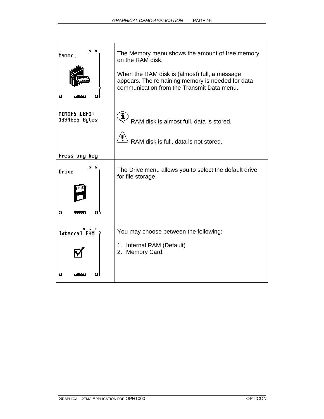| 5-5<br>Memory<br>Ω<br>Ω<br>ब्राउम | The Memory menu shows the amount of free memory<br>on the RAM disk.<br>When the RAM disk is (almost) full, a message<br>appears. The remaining memory is needed for data<br>communication from the Transmit Data menu. |
|-----------------------------------|------------------------------------------------------------------------------------------------------------------------------------------------------------------------------------------------------------------------|
| MEMORY LEFT:<br>1894896 Bytes     | $\ddot{\mathbf{I}}$<br>RAM disk is almost full, data is stored.                                                                                                                                                        |
|                                   | RAM disk is full, data is not stored.                                                                                                                                                                                  |
| Press any key                     |                                                                                                                                                                                                                        |
| 5-6<br>Drive                      | The Drive menu allows you to select the default drive<br>for file storage.                                                                                                                                             |
| Ω<br>Ω<br><b>SELECT</b>           |                                                                                                                                                                                                                        |
| $5 - 6 - 1$<br>Internal RAM       | You may choose between the following:                                                                                                                                                                                  |
|                                   | 1. Internal RAM (Default)<br><b>Memory Card</b><br>2.                                                                                                                                                                  |
| Ω                                 |                                                                                                                                                                                                                        |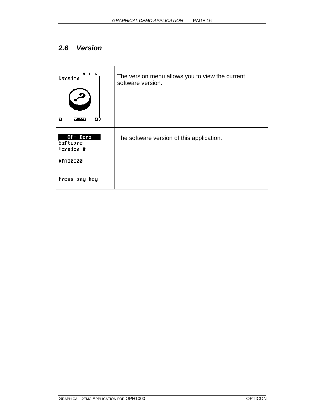#### *2.6 Version*

| $5 - 1 - 6$<br>Version<br>Ω<br>Ω.<br><u> इत्राहस्ता</u> | The version menu allows you to view the current<br>software version. |
|---------------------------------------------------------|----------------------------------------------------------------------|
| OPH Demo<br>Sof tware<br>Version #<br>XFA30920          | The software version of this application.                            |
| Press any key                                           |                                                                      |